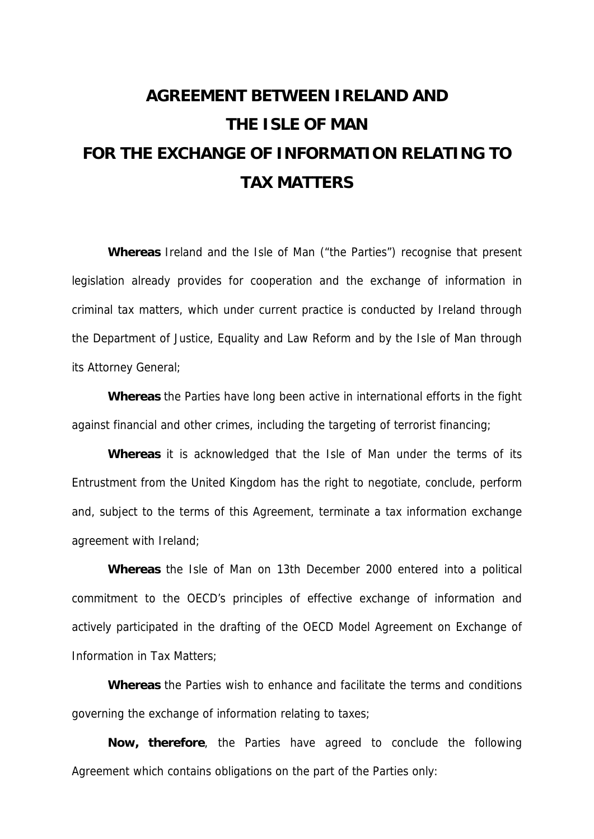# **AGREEMENT BETWEEN IRELAND AND THE ISLE OF MAN FOR THE EXCHANGE OF INFORMATION RELATING TO TAX MATTERS**

**Whereas** Ireland and the Isle of Man ("the Parties") recognise that present legislation already provides for cooperation and the exchange of information in criminal tax matters, which under current practice is conducted by Ireland through the Department of Justice, Equality and Law Reform and by the Isle of Man through its Attorney General;

**Whereas** the Parties have long been active in international efforts in the fight against financial and other crimes, including the targeting of terrorist financing;

**Whereas** it is acknowledged that the Isle of Man under the terms of its Entrustment from the United Kingdom has the right to negotiate, conclude, perform and, subject to the terms of this Agreement, terminate a tax information exchange agreement with Ireland;

**Whereas** the Isle of Man on 13th December 2000 entered into a political commitment to the OECD's principles of effective exchange of information and actively participated in the drafting of the OECD Model Agreement on Exchange of Information in Tax Matters;

**Whereas** the Parties wish to enhance and facilitate the terms and conditions governing the exchange of information relating to taxes;

**Now, therefore**, the Parties have agreed to conclude the following Agreement which contains obligations on the part of the Parties only: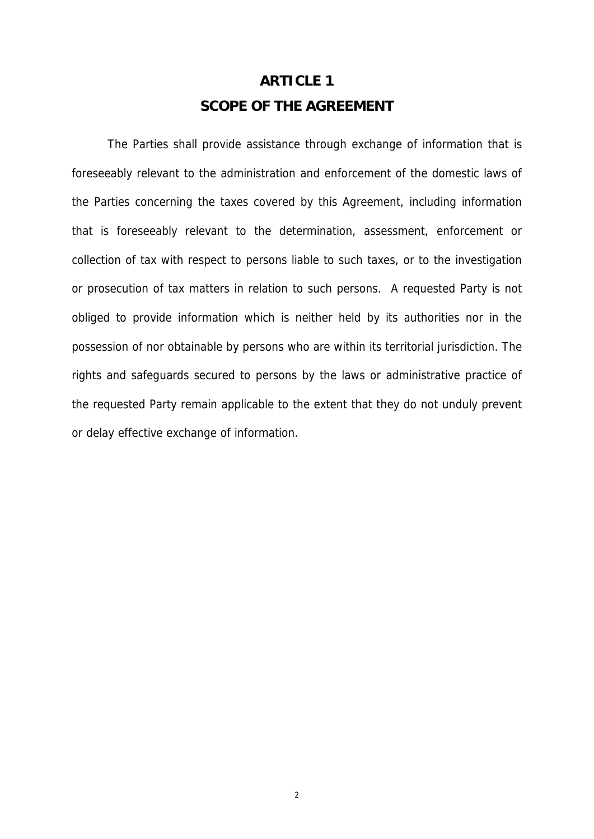### **ARTICLE 1 SCOPE OF THE AGREEMENT**

The Parties shall provide assistance through exchange of information that is foreseeably relevant to the administration and enforcement of the domestic laws of the Parties concerning the taxes covered by this Agreement, including information that is foreseeably relevant to the determination, assessment, enforcement or collection of tax with respect to persons liable to such taxes, or to the investigation or prosecution of tax matters in relation to such persons. A requested Party is not obliged to provide information which is neither held by its authorities nor in the possession of nor obtainable by persons who are within its territorial jurisdiction. The rights and safeguards secured to persons by the laws or administrative practice of the requested Party remain applicable to the extent that they do not unduly prevent or delay effective exchange of information.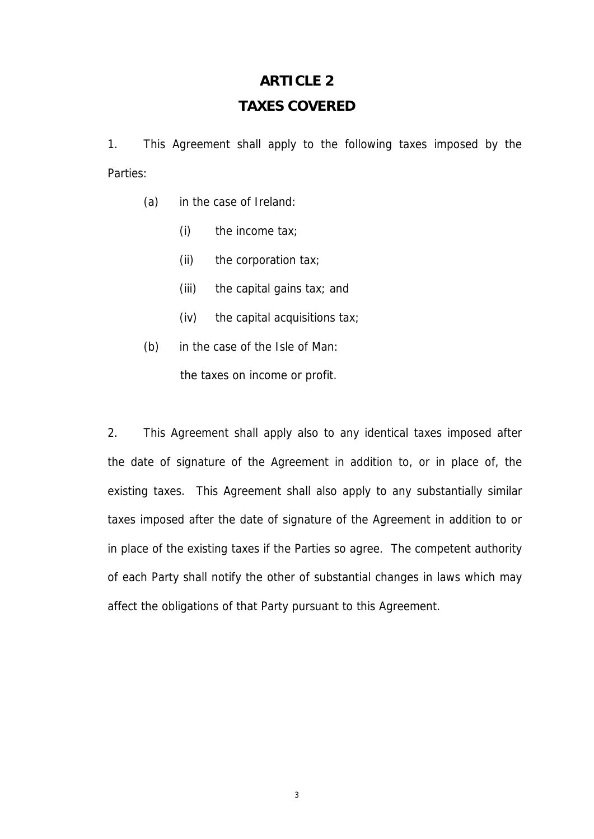# **ARTICLE 2 TAXES COVERED**

1. This Agreement shall apply to the following taxes imposed by the Parties:

- (a) in the case of Ireland:
	- (i) the income tax;
	- (ii) the corporation tax;
	- (iii) the capital gains tax; and
	- (iv) the capital acquisitions tax;
- (b) in the case of the Isle of Man: the taxes on income or profit.

2. This Agreement shall apply also to any identical taxes imposed after the date of signature of the Agreement in addition to, or in place of, the existing taxes. This Agreement shall also apply to any substantially similar taxes imposed after the date of signature of the Agreement in addition to or in place of the existing taxes if the Parties so agree. The competent authority of each Party shall notify the other of substantial changes in laws which may affect the obligations of that Party pursuant to this Agreement.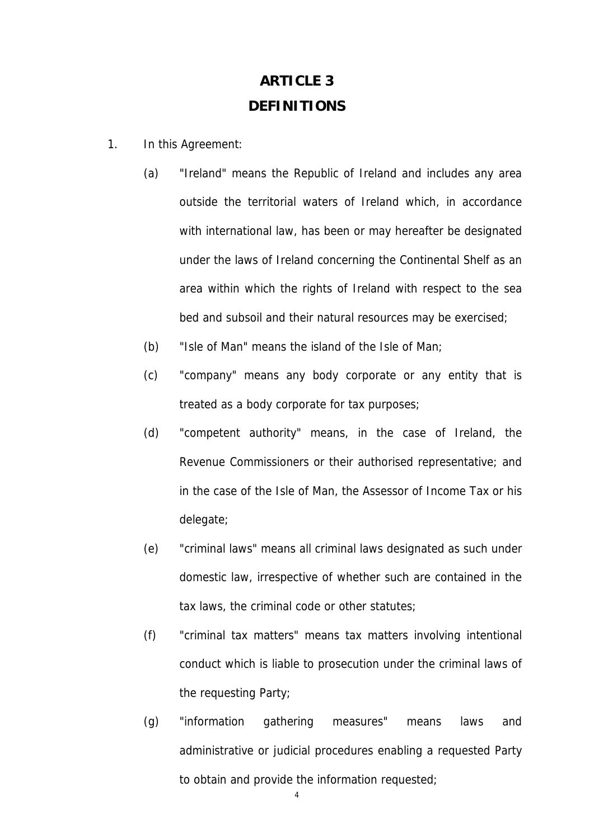### **ARTICLE 3 DEFINITIONS**

- 1. In this Agreement:
	- (a) "Ireland" means the Republic of Ireland and includes any area outside the territorial waters of Ireland which, in accordance with international law, has been or may hereafter be designated under the laws of Ireland concerning the Continental Shelf as an area within which the rights of Ireland with respect to the sea bed and subsoil and their natural resources may be exercised;
	- (b) "Isle of Man" means the island of the Isle of Man;
	- (c) "company" means any body corporate or any entity that is treated as a body corporate for tax purposes;
	- (d) "competent authority" means, in the case of Ireland, the Revenue Commissioners or their authorised representative; and in the case of the Isle of Man, the Assessor of Income Tax or his delegate;
	- (e) "criminal laws" means all criminal laws designated as such under domestic law, irrespective of whether such are contained in the tax laws, the criminal code or other statutes;
	- (f) "criminal tax matters" means tax matters involving intentional conduct which is liable to prosecution under the criminal laws of the requesting Party;
	- (g) "information gathering measures" means laws and administrative or judicial procedures enabling a requested Party to obtain and provide the information requested;

 $\overline{A}$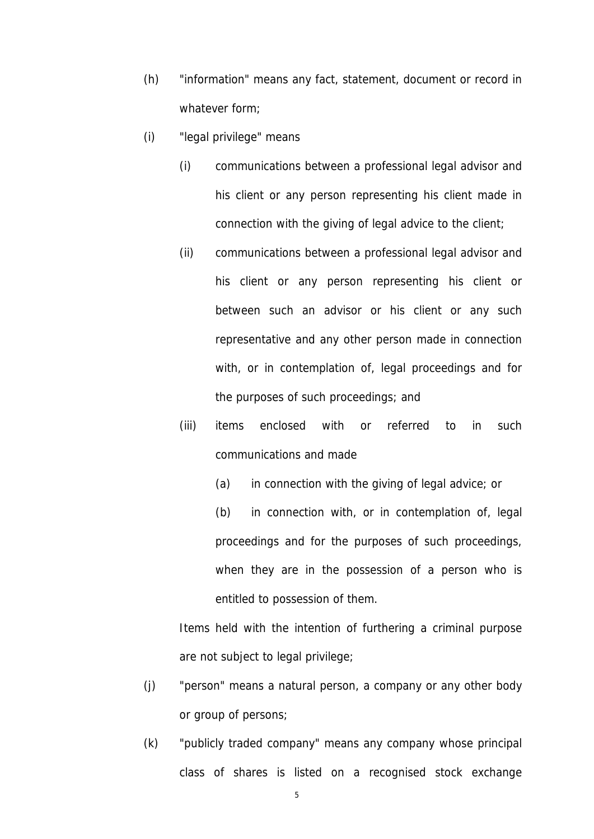- (h) "information" means any fact, statement, document or record in whatever form;
- (i) "legal privilege" means
	- (i) communications between a professional legal advisor and his client or any person representing his client made in connection with the giving of legal advice to the client;
	- (ii) communications between a professional legal advisor and his client or any person representing his client or between such an advisor or his client or any such representative and any other person made in connection with, or in contemplation of, legal proceedings and for the purposes of such proceedings; and
	- (iii) items enclosed with or referred to in such communications and made
		- (a) in connection with the giving of legal advice; or

(b) in connection with, or in contemplation of, legal proceedings and for the purposes of such proceedings, when they are in the possession of a person who is entitled to possession of them.

Items held with the intention of furthering a criminal purpose are not subject to legal privilege;

- (j) "person" means a natural person, a company or any other body or group of persons;
- (k) "publicly traded company" means any company whose principal class of shares is listed on a recognised stock exchange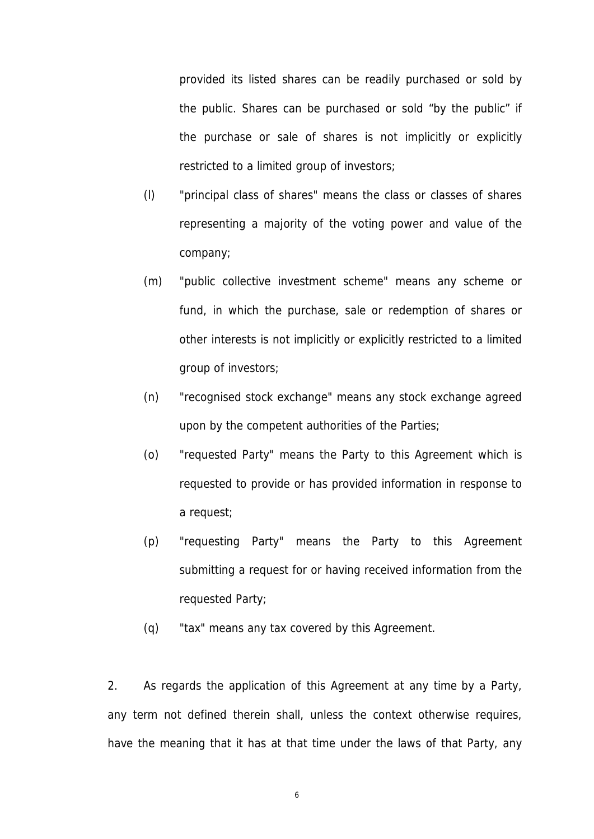provided its listed shares can be readily purchased or sold by the public. Shares can be purchased or sold "by the public" if the purchase or sale of shares is not implicitly or explicitly restricted to a limited group of investors;

- (l) "principal class of shares" means the class or classes of shares representing a majority of the voting power and value of the company;
- (m) "public collective investment scheme" means any scheme or fund, in which the purchase, sale or redemption of shares or other interests is not implicitly or explicitly restricted to a limited group of investors;
- (n) "recognised stock exchange" means any stock exchange agreed upon by the competent authorities of the Parties;
- (o) "requested Party" means the Party to this Agreement which is requested to provide or has provided information in response to a request;
- (p) "requesting Party" means the Party to this Agreement submitting a request for or having received information from the requested Party;
- (q) "tax" means any tax covered by this Agreement.

2. As regards the application of this Agreement at any time by a Party, any term not defined therein shall, unless the context otherwise requires, have the meaning that it has at that time under the laws of that Party, any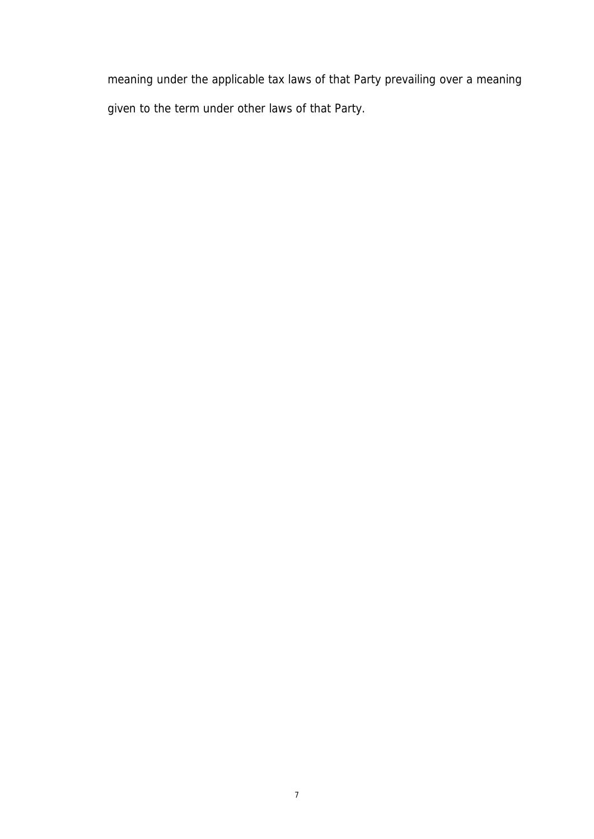meaning under the applicable tax laws of that Party prevailing over a meaning given to the term under other laws of that Party.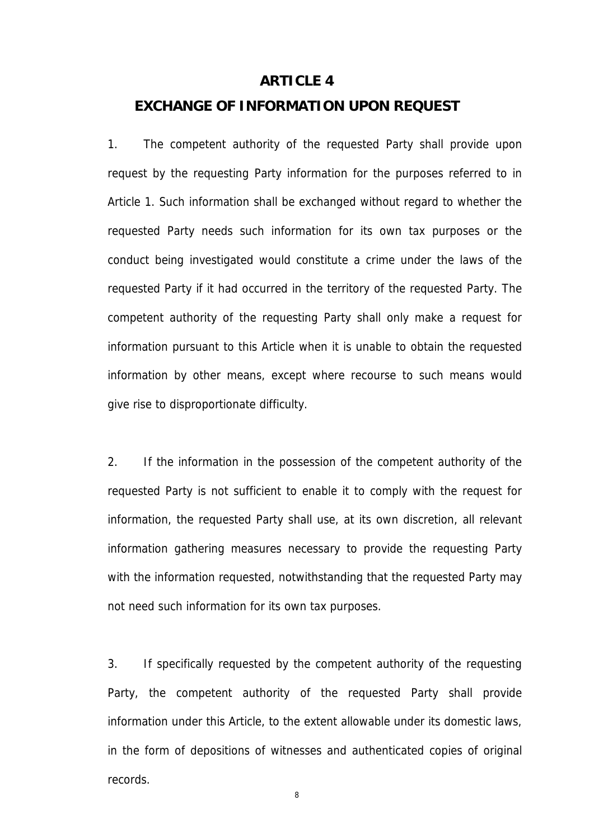#### **ARTICLE 4**

#### **EXCHANGE OF INFORMATION UPON REQUEST**

1. The competent authority of the requested Party shall provide upon request by the requesting Party information for the purposes referred to in Article 1. Such information shall be exchanged without regard to whether the requested Party needs such information for its own tax purposes or the conduct being investigated would constitute a crime under the laws of the requested Party if it had occurred in the territory of the requested Party. The competent authority of the requesting Party shall only make a request for information pursuant to this Article when it is unable to obtain the requested information by other means, except where recourse to such means would give rise to disproportionate difficulty.

2. If the information in the possession of the competent authority of the requested Party is not sufficient to enable it to comply with the request for information, the requested Party shall use, at its own discretion, all relevant information gathering measures necessary to provide the requesting Party with the information requested, notwithstanding that the requested Party may not need such information for its own tax purposes.

3. If specifically requested by the competent authority of the requesting Party, the competent authority of the requested Party shall provide information under this Article, to the extent allowable under its domestic laws, in the form of depositions of witnesses and authenticated copies of original records.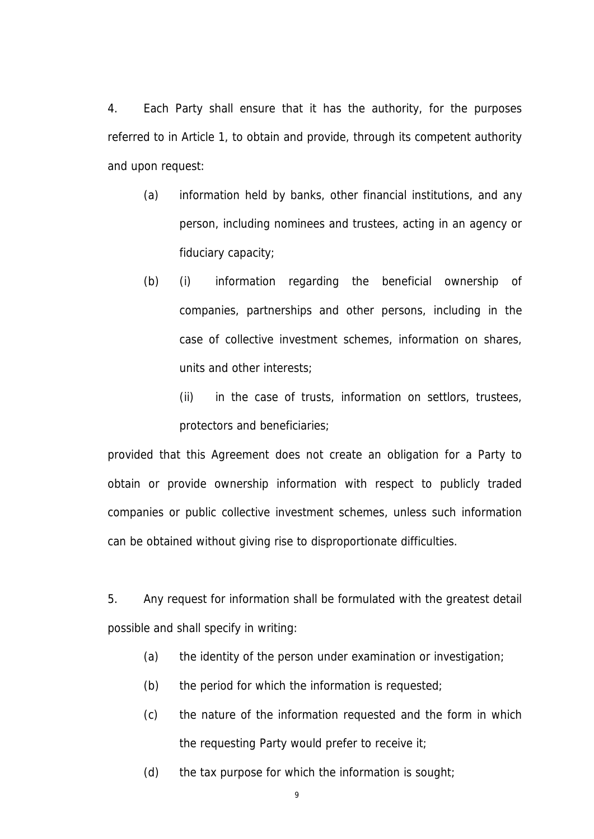4. Each Party shall ensure that it has the authority, for the purposes referred to in Article 1, to obtain and provide, through its competent authority and upon request:

- (a) information held by banks, other financial institutions, and any person, including nominees and trustees, acting in an agency or fiduciary capacity;
- (b) (i) information regarding the beneficial ownership of companies, partnerships and other persons, including in the case of collective investment schemes, information on shares, units and other interests;
	- (ii) in the case of trusts, information on settlors, trustees, protectors and beneficiaries;

provided that this Agreement does not create an obligation for a Party to obtain or provide ownership information with respect to publicly traded companies or public collective investment schemes, unless such information can be obtained without giving rise to disproportionate difficulties.

5. Any request for information shall be formulated with the greatest detail possible and shall specify in writing:

- (a) the identity of the person under examination or investigation;
- (b) the period for which the information is requested;
- (c) the nature of the information requested and the form in which the requesting Party would prefer to receive it;
- (d) the tax purpose for which the information is sought;
	- 9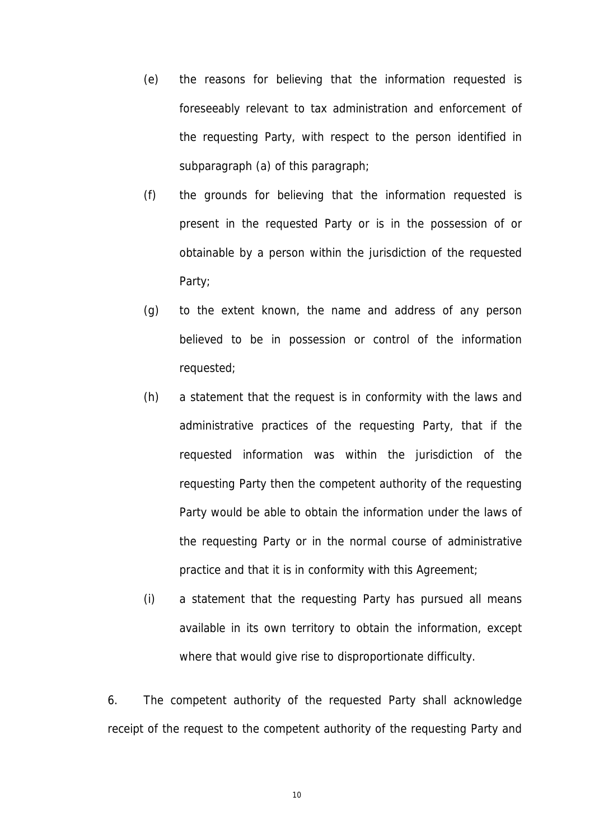- (e) the reasons for believing that the information requested is foreseeably relevant to tax administration and enforcement of the requesting Party, with respect to the person identified in subparagraph (a) of this paragraph;
- (f) the grounds for believing that the information requested is present in the requested Party or is in the possession of or obtainable by a person within the jurisdiction of the requested Party;
- (g) to the extent known, the name and address of any person believed to be in possession or control of the information requested;
- (h) a statement that the request is in conformity with the laws and administrative practices of the requesting Party, that if the requested information was within the jurisdiction of the requesting Party then the competent authority of the requesting Party would be able to obtain the information under the laws of the requesting Party or in the normal course of administrative practice and that it is in conformity with this Agreement;
- (i) a statement that the requesting Party has pursued all means available in its own territory to obtain the information, except where that would give rise to disproportionate difficulty.

6. The competent authority of the requested Party shall acknowledge receipt of the request to the competent authority of the requesting Party and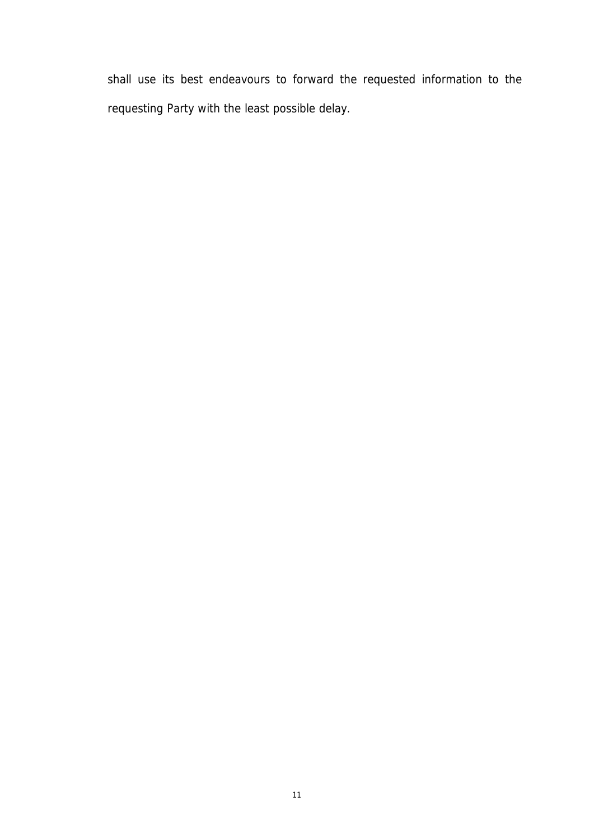shall use its best endeavours to forward the requested information to the requesting Party with the least possible delay.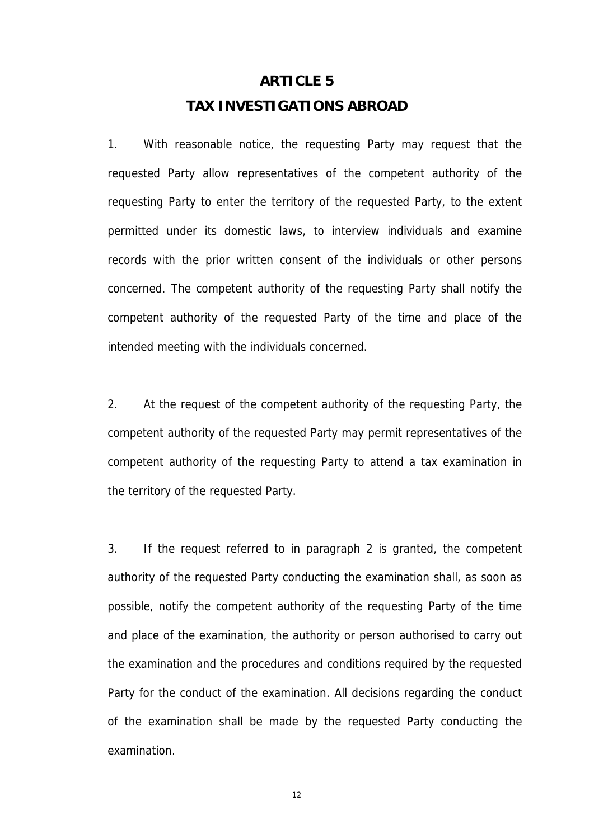### **ARTICLE 5 TAX INVESTIGATIONS ABROAD**

1. With reasonable notice, the requesting Party may request that the requested Party allow representatives of the competent authority of the requesting Party to enter the territory of the requested Party, to the extent permitted under its domestic laws, to interview individuals and examine records with the prior written consent of the individuals or other persons concerned. The competent authority of the requesting Party shall notify the competent authority of the requested Party of the time and place of the intended meeting with the individuals concerned.

2. At the request of the competent authority of the requesting Party, the competent authority of the requested Party may permit representatives of the competent authority of the requesting Party to attend a tax examination in the territory of the requested Party.

3. If the request referred to in paragraph 2 is granted, the competent authority of the requested Party conducting the examination shall, as soon as possible, notify the competent authority of the requesting Party of the time and place of the examination, the authority or person authorised to carry out the examination and the procedures and conditions required by the requested Party for the conduct of the examination. All decisions regarding the conduct of the examination shall be made by the requested Party conducting the examination.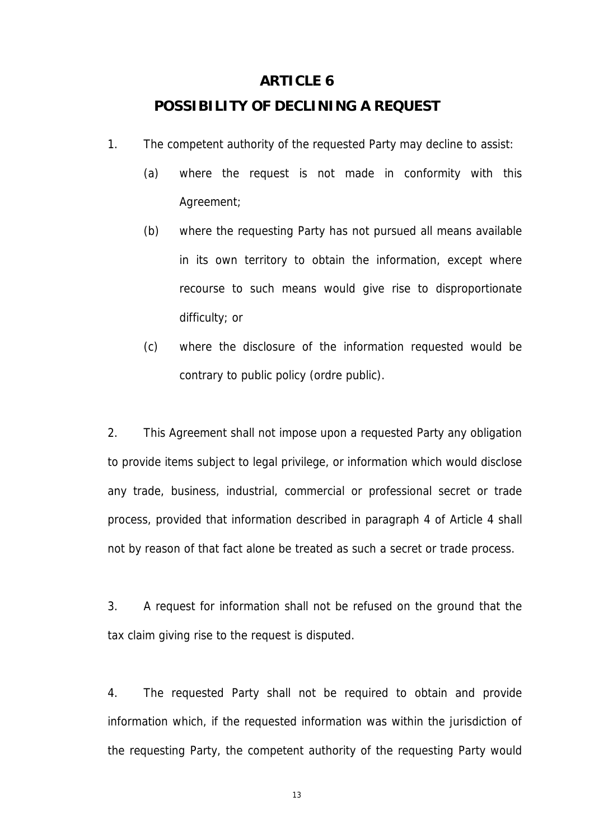#### **ARTICLE 6**

#### **POSSIBILITY OF DECLINING A REQUEST**

- 1. The competent authority of the requested Party may decline to assist:
	- (a) where the request is not made in conformity with this Agreement;
	- (b) where the requesting Party has not pursued all means available in its own territory to obtain the information, except where recourse to such means would give rise to disproportionate difficulty; or
	- (c) where the disclosure of the information requested would be contrary to public policy (ordre public).

2. This Agreement shall not impose upon a requested Party any obligation to provide items subject to legal privilege, or information which would disclose any trade, business, industrial, commercial or professional secret or trade process, provided that information described in paragraph 4 of Article 4 shall not by reason of that fact alone be treated as such a secret or trade process.

3. A request for information shall not be refused on the ground that the tax claim giving rise to the request is disputed.

4. The requested Party shall not be required to obtain and provide information which, if the requested information was within the jurisdiction of the requesting Party, the competent authority of the requesting Party would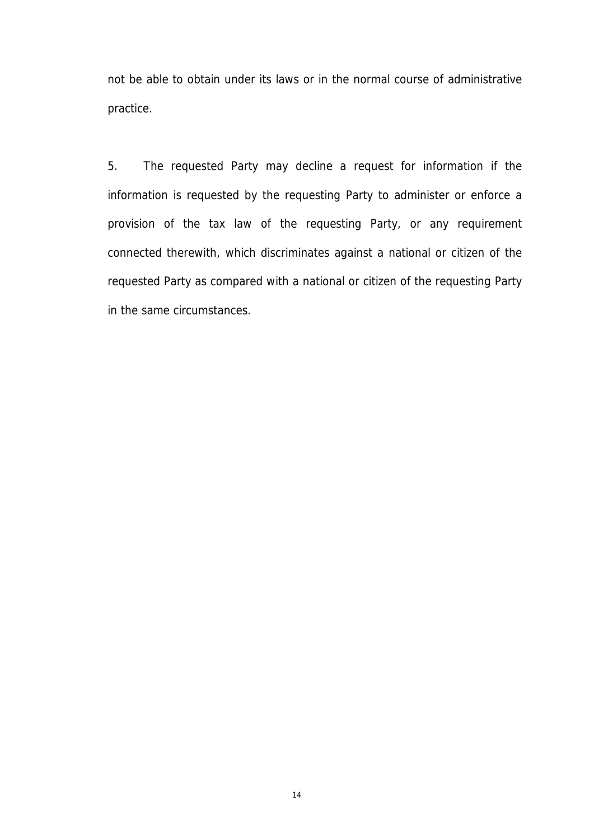not be able to obtain under its laws or in the normal course of administrative practice.

5. The requested Party may decline a request for information if the information is requested by the requesting Party to administer or enforce a provision of the tax law of the requesting Party, or any requirement connected therewith, which discriminates against a national or citizen of the requested Party as compared with a national or citizen of the requesting Party in the same circumstances.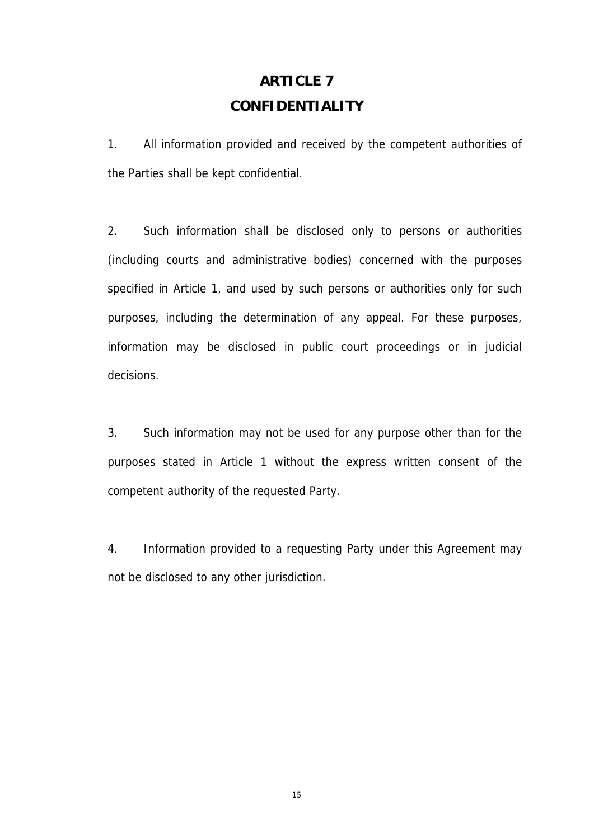### **ARTICLE 7 CONFIDENTIALITY**

1. All information provided and received by the competent authorities of the Parties shall be kept confidential.

2. Such information shall be disclosed only to persons or authorities (including courts and administrative bodies) concerned with the purposes specified in Article 1, and used by such persons or authorities only for such purposes, including the determination of any appeal. For these purposes, information may be disclosed in public court proceedings or in judicial decisions.

3. Such information may not be used for any purpose other than for the purposes stated in Article 1 without the express written consent of the competent authority of the requested Party.

4. Information provided to a requesting Party under this Agreement may not be disclosed to any other jurisdiction.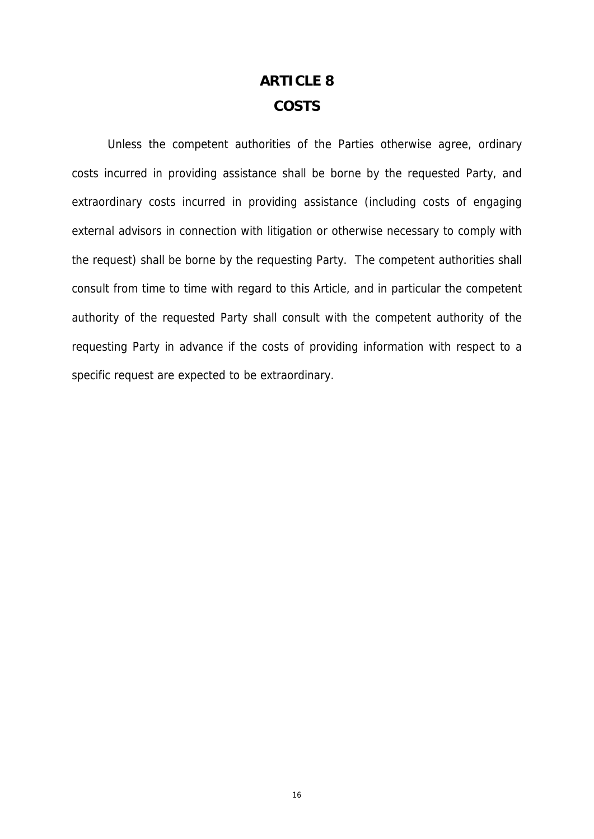### **ARTICLE 8 COSTS**

Unless the competent authorities of the Parties otherwise agree, ordinary costs incurred in providing assistance shall be borne by the requested Party, and extraordinary costs incurred in providing assistance (including costs of engaging external advisors in connection with litigation or otherwise necessary to comply with the request) shall be borne by the requesting Party. The competent authorities shall consult from time to time with regard to this Article, and in particular the competent authority of the requested Party shall consult with the competent authority of the requesting Party in advance if the costs of providing information with respect to a specific request are expected to be extraordinary.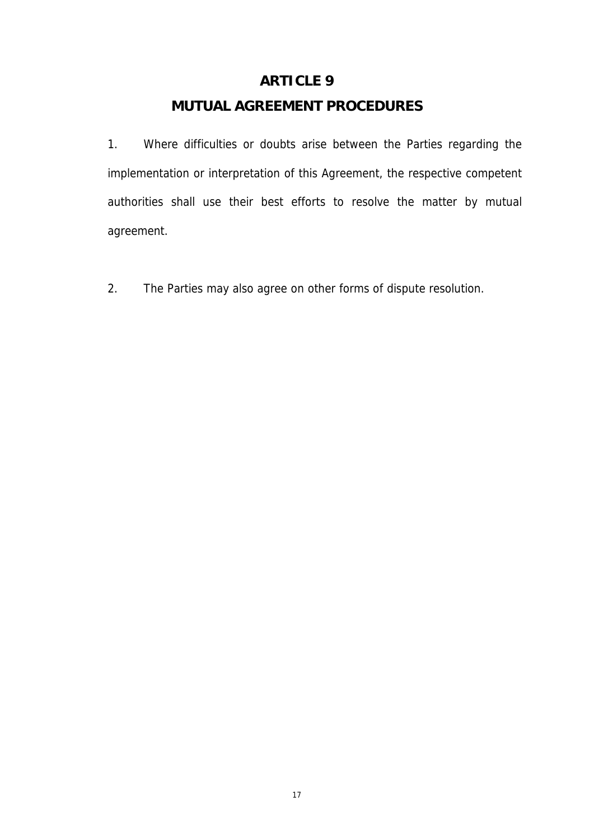### **ARTICLE 9**

### **MUTUAL AGREEMENT PROCEDURES**

1. Where difficulties or doubts arise between the Parties regarding the implementation or interpretation of this Agreement, the respective competent authorities shall use their best efforts to resolve the matter by mutual agreement.

2. The Parties may also agree on other forms of dispute resolution.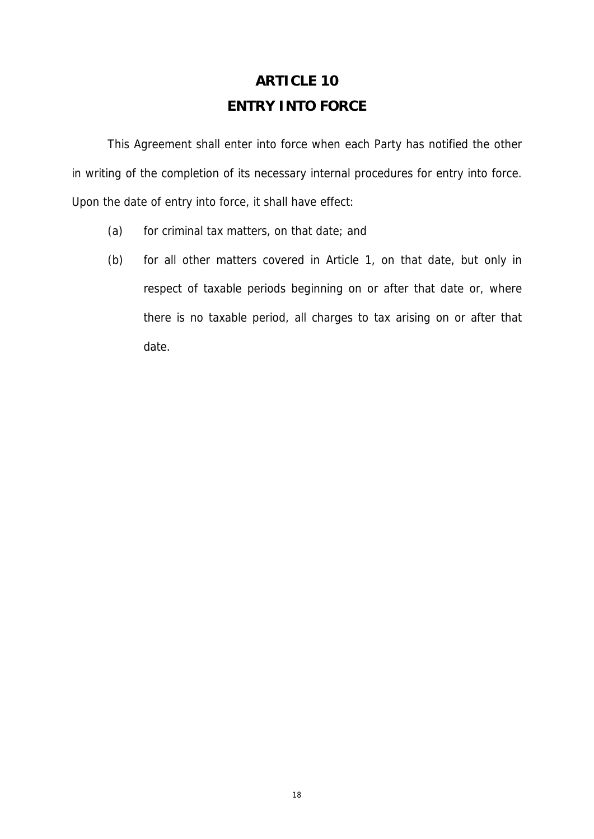# **ARTICLE 10 ENTRY INTO FORCE**

This Agreement shall enter into force when each Party has notified the other in writing of the completion of its necessary internal procedures for entry into force. Upon the date of entry into force, it shall have effect:

- (a) for criminal tax matters, on that date; and
- (b) for all other matters covered in Article 1, on that date, but only in respect of taxable periods beginning on or after that date or, where there is no taxable period, all charges to tax arising on or after that date.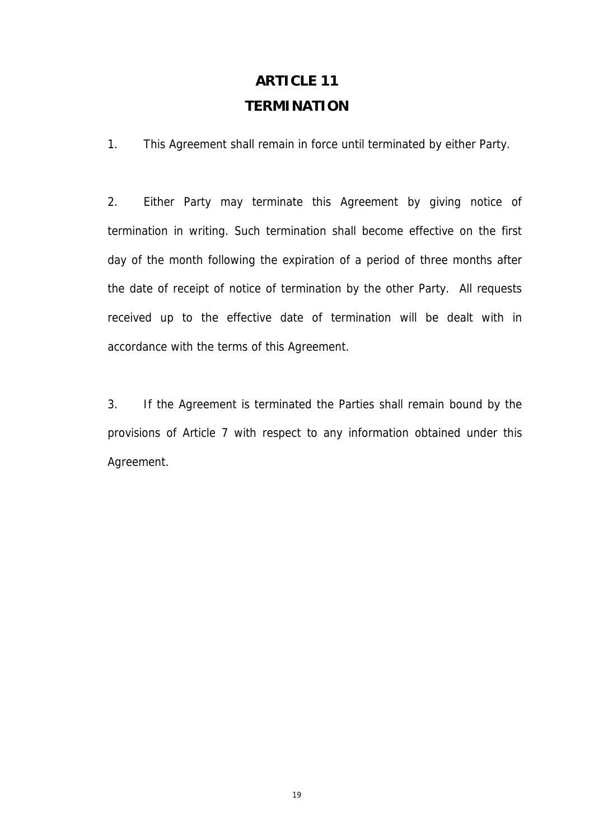### **ARTICLE 11 TERMINATION**

1. This Agreement shall remain in force until terminated by either Party.

2. Either Party may terminate this Agreement by giving notice of termination in writing. Such termination shall become effective on the first day of the month following the expiration of a period of three months after the date of receipt of notice of termination by the other Party. All requests received up to the effective date of termination will be dealt with in accordance with the terms of this Agreement.

3. If the Agreement is terminated the Parties shall remain bound by the provisions of Article 7 with respect to any information obtained under this Agreement.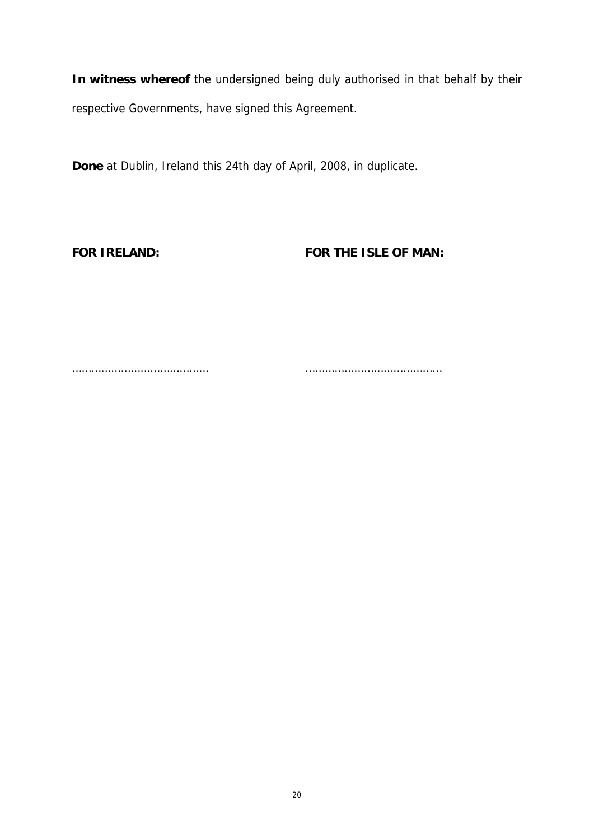**In witness whereof** the undersigned being duly authorised in that behalf by their respective Governments, have signed this Agreement.

**Done** at Dublin, Ireland this 24th day of April, 2008, in duplicate.

**FOR IRELAND: FOR THE ISLE OF MAN:**

…………………………………… ……………………………………